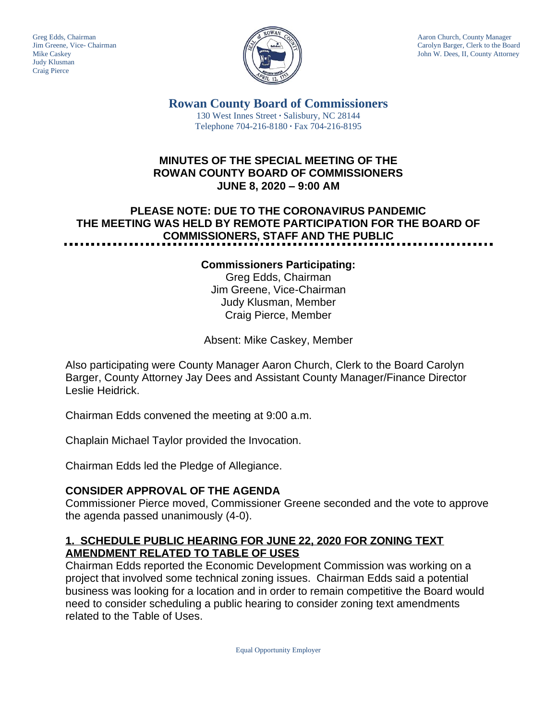Judy Klusman Craig Pierce



Greg Edds, Chairman Aaron Church, County Manager<br>Jim Greene, Vice- Chairman Aaron Church, County Manager and Aaron Church, County Manager and Aaron Church, County Manager Jim Greene, Vice- Chairman Carolyn Barger, Clerk to the Board Carolyn Barger, Clerk to the Board Carolyn Barger, Clerk to the Board Carolyn Barger, Clerk to the Board Iohn W. Dees. II. County Attorney John W. Dees, II, County Attorney

> **Rowan County Board of Commissioners** 130 West Innes Street **∙** Salisbury, NC 28144 Telephone 704-216-8180 **∙** Fax 704-216-8195

## **MINUTES OF THE SPECIAL MEETING OF THE ROWAN COUNTY BOARD OF COMMISSIONERS JUNE 8, 2020 – 9:00 AM**

# **PLEASE NOTE: DUE TO THE CORONAVIRUS PANDEMIC THE MEETING WAS HELD BY REMOTE PARTICIPATION FOR THE BOARD OF COMMISSIONERS, STAFF AND THE PUBLIC**

#### **Commissioners Participating:**

Greg Edds, Chairman Jim Greene, Vice-Chairman Judy Klusman, Member Craig Pierce, Member

Absent: Mike Caskey, Member

Also participating were County Manager Aaron Church, Clerk to the Board Carolyn Barger, County Attorney Jay Dees and Assistant County Manager/Finance Director Leslie Heidrick.

Chairman Edds convened the meeting at 9:00 a.m.

Chaplain Michael Taylor provided the Invocation.

Chairman Edds led the Pledge of Allegiance.

# **CONSIDER APPROVAL OF THE AGENDA**

Commissioner Pierce moved, Commissioner Greene seconded and the vote to approve the agenda passed unanimously (4-0).

## **1. SCHEDULE PUBLIC HEARING FOR JUNE 22, 2020 FOR ZONING TEXT AMENDMENT RELATED TO TABLE OF USES**

Chairman Edds reported the Economic Development Commission was working on a project that involved some technical zoning issues. Chairman Edds said a potential business was looking for a location and in order to remain competitive the Board would need to consider scheduling a public hearing to consider zoning text amendments related to the Table of Uses.